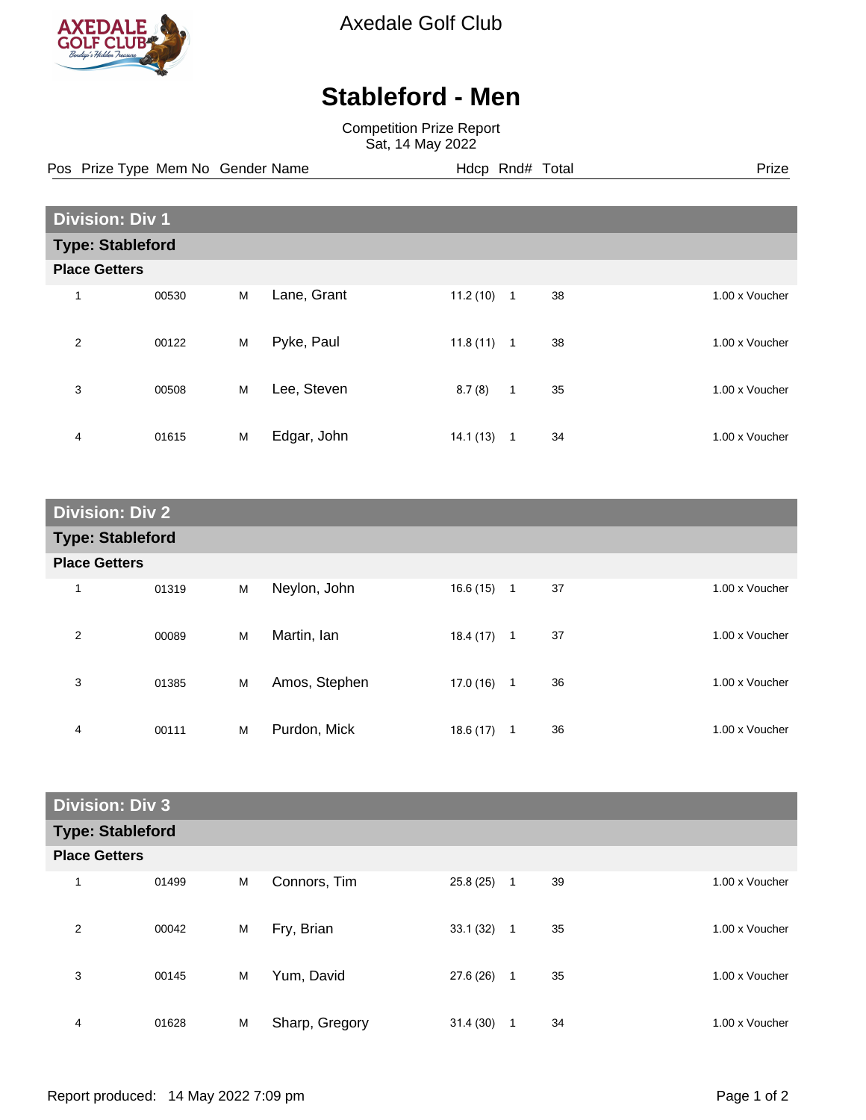

Axedale Golf Club

## **Stableford - Men**

Competition Prize Report Sat, 14 May 2022

Pos Prize Type Mem No Gender Name **Hdcp Rnd# Total** Prize Prize

| <b>Division: Div 1</b>  |       |   |             |          |                |    |  |                |
|-------------------------|-------|---|-------------|----------|----------------|----|--|----------------|
| <b>Type: Stableford</b> |       |   |             |          |                |    |  |                |
| <b>Place Getters</b>    |       |   |             |          |                |    |  |                |
|                         | 00530 | M | Lane, Grant | 11.2(10) | $\overline{1}$ | 38 |  | 1.00 x Voucher |
| $\overline{2}$          | 00122 | M | Pyke, Paul  | 11.8(11) | $\overline{1}$ | 38 |  | 1.00 x Voucher |
| 3                       | 00508 | M | Lee, Steven | 8.7(8)   | $\mathbf{1}$   | 35 |  | 1.00 x Voucher |
| 4                       | 01615 | M | Edgar, John | 14.1(13) | -1             | 34 |  | 1.00 x Voucher |

| <b>Division: Div 2</b>  |       |   |               |          |              |    |                |
|-------------------------|-------|---|---------------|----------|--------------|----|----------------|
| <b>Type: Stableford</b> |       |   |               |          |              |    |                |
| <b>Place Getters</b>    |       |   |               |          |              |    |                |
| 1                       | 01319 | М | Neylon, John  | 16.6(15) | $\mathbf{1}$ | 37 | 1.00 x Voucher |
| 2                       | 00089 | M | Martin, Ian   | 18.4(17) | $\mathbf{1}$ | 37 | 1.00 x Voucher |
| 3                       | 01385 | M | Amos, Stephen | 17.0(16) | $\mathbf{1}$ | 36 | 1.00 x Voucher |
| 4                       | 00111 | M | Purdon, Mick  | 18.6(17) | 1            | 36 | 1.00 x Voucher |

| <b>Division: Div 3</b>  |       |   |                |           |              |    |                |
|-------------------------|-------|---|----------------|-----------|--------------|----|----------------|
| <b>Type: Stableford</b> |       |   |                |           |              |    |                |
| <b>Place Getters</b>    |       |   |                |           |              |    |                |
| 1                       | 01499 | M | Connors, Tim   | 25.8(25)  | $\mathbf{1}$ | 39 | 1.00 x Voucher |
| 2                       | 00042 | M | Fry, Brian     | 33.1(32)  | $\mathbf{1}$ | 35 | 1.00 x Voucher |
| 3                       | 00145 | M | Yum, David     | 27.6 (26) | $\mathbf{1}$ | 35 | 1.00 x Voucher |
| 4                       | 01628 | M | Sharp, Gregory | 31.4(30)  | 1            | 34 | 1.00 x Voucher |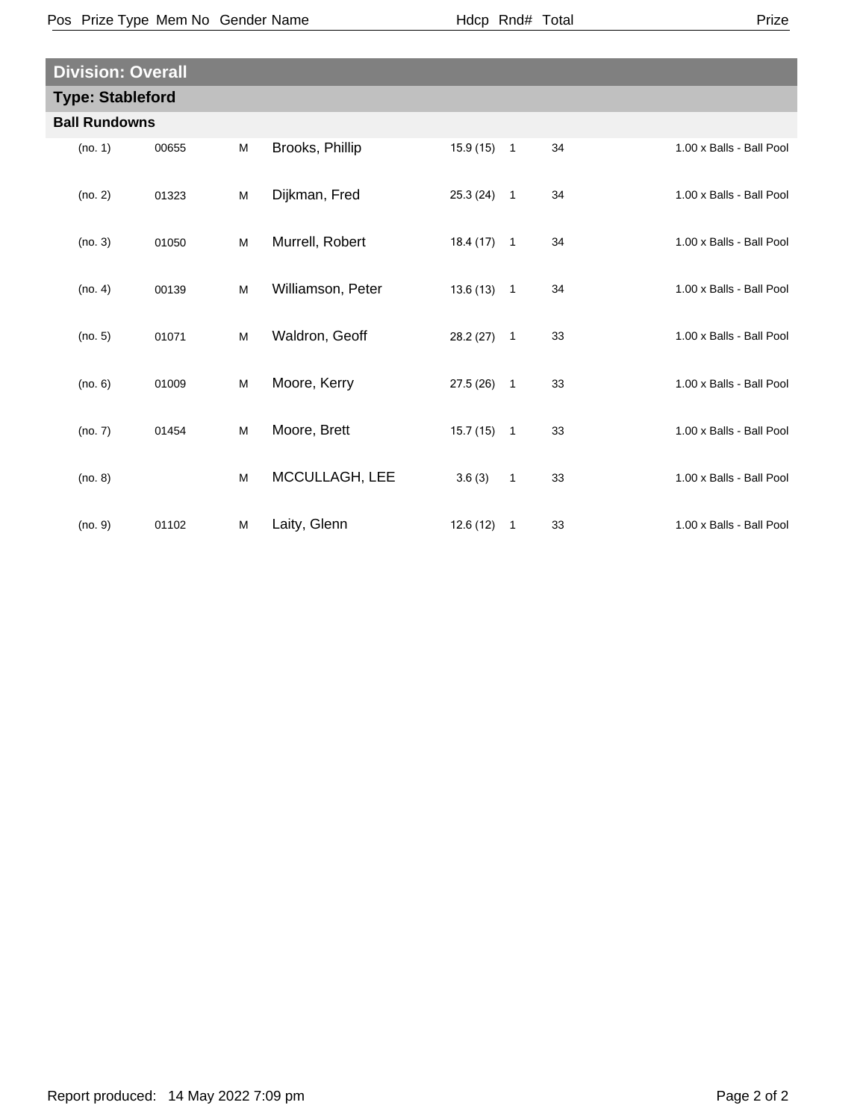| × |
|---|
|---|

| <b>Division: Overall</b> |       |   |                   |              |              |    |  |                          |
|--------------------------|-------|---|-------------------|--------------|--------------|----|--|--------------------------|
| <b>Type: Stableford</b>  |       |   |                   |              |              |    |  |                          |
| <b>Ball Rundowns</b>     |       |   |                   |              |              |    |  |                          |
| (no. 1)                  | 00655 | M | Brooks, Phillip   | $15.9(15)$ 1 |              | 34 |  | 1.00 x Balls - Ball Pool |
| (no. 2)                  | 01323 | M | Dijkman, Fred     | $25.3(24)$ 1 |              | 34 |  | 1.00 x Balls - Ball Pool |
| (no. 3)                  | 01050 | M | Murrell, Robert   | $18.4(17)$ 1 |              | 34 |  | 1.00 x Balls - Ball Pool |
| (no. 4)                  | 00139 | M | Williamson, Peter | $13.6(13)$ 1 |              | 34 |  | 1.00 x Balls - Ball Pool |
| (no. 5)                  | 01071 | M | Waldron, Geoff    | $28.2(27)$ 1 |              | 33 |  | 1.00 x Balls - Ball Pool |
| (no. 6)                  | 01009 | M | Moore, Kerry      | $27.5(26)$ 1 |              | 33 |  | 1.00 x Balls - Ball Pool |
| (no. 7)                  | 01454 | M | Moore, Brett      | $15.7(15)$ 1 |              | 33 |  | 1.00 x Balls - Ball Pool |
| (no. 8)                  |       | M | MCCULLAGH, LEE    | 3.6(3)       | $\mathbf{1}$ | 33 |  | 1.00 x Balls - Ball Pool |
| (no. 9)                  | 01102 | M | Laity, Glenn      | 12.6(12)     | $\mathbf{1}$ | 33 |  | 1.00 x Balls - Ball Pool |